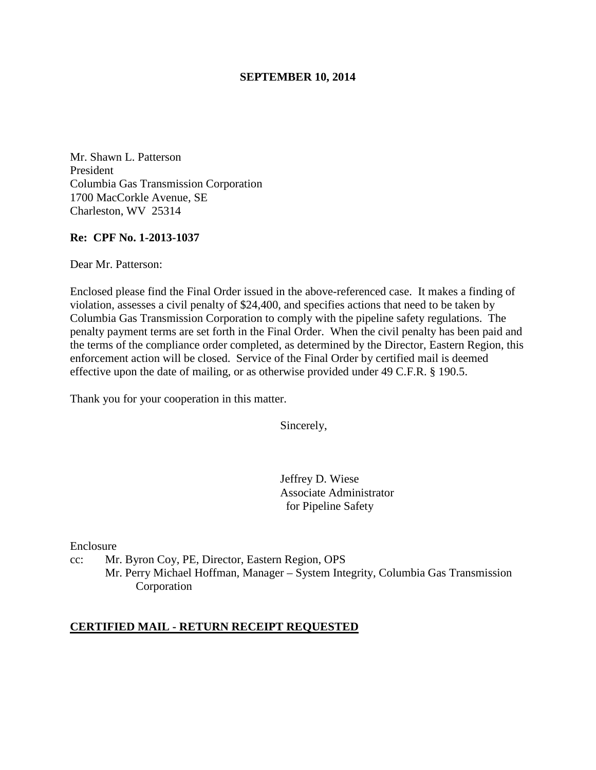### **SEPTEMBER 10, 2014**

Mr. Shawn L. Patterson President Columbia Gas Transmission Corporation 1700 MacCorkle Avenue, SE Charleston, WV 25314

### **Re: CPF No. 1-2013-1037**

Dear Mr. Patterson:

Enclosed please find the Final Order issued in the above-referenced case. It makes a finding of violation, assesses a civil penalty of \$24,400, and specifies actions that need to be taken by Columbia Gas Transmission Corporation to comply with the pipeline safety regulations. The penalty payment terms are set forth in the Final Order. When the civil penalty has been paid and the terms of the compliance order completed, as determined by the Director, Eastern Region, this enforcement action will be closed. Service of the Final Order by certified mail is deemed effective upon the date of mailing, or as otherwise provided under 49 C.F.R. § 190.5.

Thank you for your cooperation in this matter.

Sincerely,

Jeffrey D. Wiese Associate Administrator for Pipeline Safety

Enclosure

cc: Mr. Byron Coy, PE, Director, Eastern Region, OPS

Mr. Perry Michael Hoffman, Manager – System Integrity, Columbia Gas Transmission Corporation

#### **CERTIFIED MAIL - RETURN RECEIPT REQUESTED**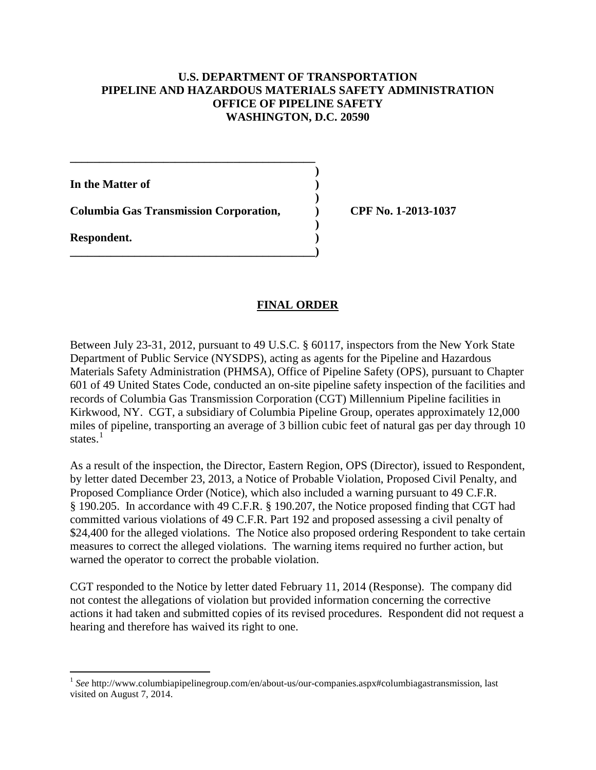## **U.S. DEPARTMENT OF TRANSPORTATION PIPELINE AND HAZARDOUS MATERIALS SAFETY ADMINISTRATION OFFICE OF PIPELINE SAFETY WASHINGTON, D.C. 20590**

**In the Matter of )** 

**Columbia Gas Transmission Corporation, ) CPF No. 1-2013-1037** 

**\_\_\_\_\_\_\_\_\_\_\_\_\_\_\_\_\_\_\_\_\_\_\_\_\_\_\_\_\_\_\_\_\_\_\_\_\_\_\_\_\_\_ )** 

 **)** 

 **)** 

**\_\_\_\_\_\_\_\_\_\_\_\_\_\_\_\_\_\_\_\_\_\_\_\_\_\_\_\_\_\_\_\_\_\_\_\_\_\_\_\_\_\_)** 

**Respondent. )** 

# **FINAL ORDER**

Between July 23-31, 2012, pursuant to 49 U.S.C. § 60117, inspectors from the New York State Department of Public Service (NYSDPS), acting as agents for the Pipeline and Hazardous Materials Safety Administration (PHMSA), Office of Pipeline Safety (OPS), pursuant to Chapter 601 of 49 United States Code, conducted an on-site pipeline safety inspection of the facilities and records of Columbia Gas Transmission Corporation (CGT) Millennium Pipeline facilities in Kirkwood, NY. CGT, a subsidiary of Columbia Pipeline Group, operates approximately 12,000 miles of pipeline, transporting an average of 3 billion cubic feet of natural gas per day through 10 states.<sup>1</sup>

As a result of the inspection, the Director, Eastern Region, OPS (Director), issued to Respondent, by letter dated December 23, 2013, a Notice of Probable Violation, Proposed Civil Penalty, and Proposed Compliance Order (Notice), which also included a warning pursuant to 49 C.F.R. § 190.205. In accordance with 49 C.F.R. § 190.207, the Notice proposed finding that CGT had committed various violations of 49 C.F.R. Part 192 and proposed assessing a civil penalty of \$24,400 for the alleged violations. The Notice also proposed ordering Respondent to take certain measures to correct the alleged violations. The warning items required no further action, but warned the operator to correct the probable violation.

CGT responded to the Notice by letter dated February 11, 2014 (Response). The company did not contest the allegations of violation but provided information concerning the corrective actions it had taken and submitted copies of its revised procedures. Respondent did not request a hearing and therefore has waived its right to one.

 $\overline{a}$ <sup>1</sup> See http://www.columbiapipelinegroup.com/en/about-us/our-companies.aspx#columbiagastransmission, last visited on August 7, 2014.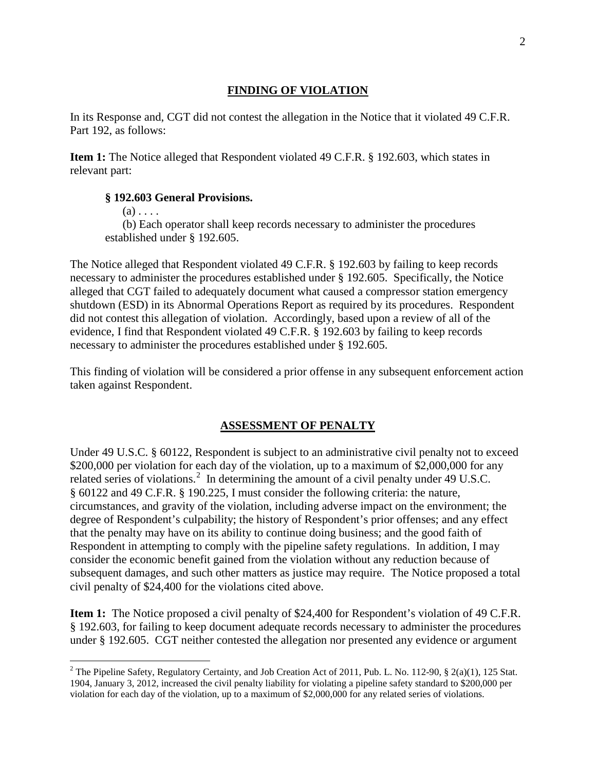### **FINDING OF VIOLATION**

In its Response and, CGT did not contest the allegation in the Notice that it violated 49 C.F.R. Part 192, as follows:

**Item 1:** The Notice alleged that Respondent violated 49 C.F.R. § 192.603, which states in relevant part:

#### **§ 192.603 General Provisions.**

 $(a)$ ...

 $\overline{a}$ 

 (b) Each operator shall keep records necessary to administer the procedures established under § 192.605.

The Notice alleged that Respondent violated 49 C.F.R. § 192.603 by failing to keep records necessary to administer the procedures established under § 192.605. Specifically, the Notice alleged that CGT failed to adequately document what caused a compressor station emergency shutdown (ESD) in its Abnormal Operations Report as required by its procedures. Respondent did not contest this allegation of violation. Accordingly, based upon a review of all of the evidence, I find that Respondent violated 49 C.F.R. § 192.603 by failing to keep records necessary to administer the procedures established under § 192.605.

This finding of violation will be considered a prior offense in any subsequent enforcement action taken against Respondent.

#### **ASSESSMENT OF PENALTY**

Under 49 U.S.C. § 60122, Respondent is subject to an administrative civil penalty not to exceed \$200,000 per violation for each day of the violation, up to a maximum of \$2,000,000 for any related series of violations.<sup>2</sup> In determining the amount of a civil penalty under 49 U.S.C. § 60122 and 49 C.F.R. § 190.225, I must consider the following criteria: the nature, circumstances, and gravity of the violation, including adverse impact on the environment; the degree of Respondent's culpability; the history of Respondent's prior offenses; and any effect that the penalty may have on its ability to continue doing business; and the good faith of Respondent in attempting to comply with the pipeline safety regulations. In addition, I may consider the economic benefit gained from the violation without any reduction because of subsequent damages, and such other matters as justice may require. The Notice proposed a total civil penalty of \$24,400 for the violations cited above.

**Item 1:** The Notice proposed a civil penalty of \$24,400 for Respondent's violation of 49 C.F.R. § 192.603, for failing to keep document adequate records necessary to administer the procedures under § 192.605. CGT neither contested the allegation nor presented any evidence or argument

<sup>&</sup>lt;sup>2</sup> The Pipeline Safety, Regulatory Certainty, and Job Creation Act of 2011, Pub. L. No. 112-90, § 2(a)(1), 125 Stat. 1904, January 3, 2012, increased the civil penalty liability for violating a pipeline safety standard to \$200,000 per violation for each day of the violation, up to a maximum of \$2,000,000 for any related series of violations.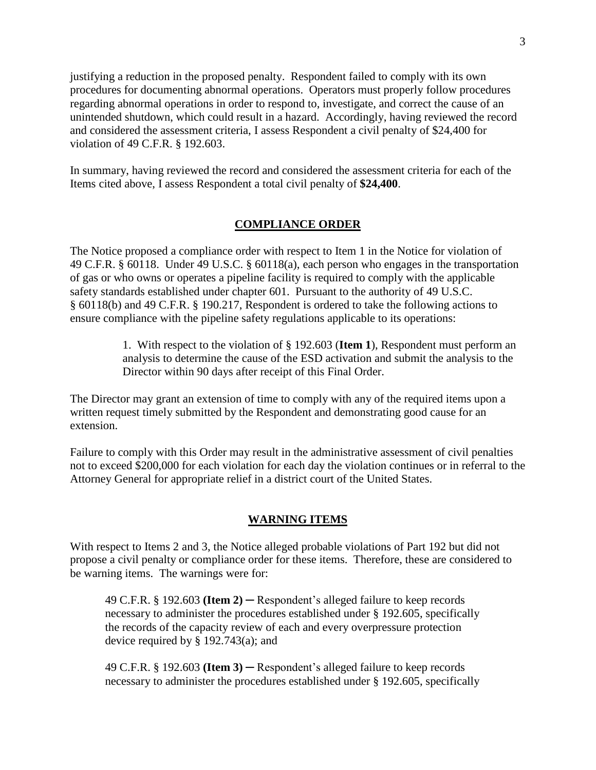justifying a reduction in the proposed penalty. Respondent failed to comply with its own procedures for documenting abnormal operations. Operators must properly follow procedures regarding abnormal operations in order to respond to, investigate, and correct the cause of an unintended shutdown, which could result in a hazard. Accordingly, having reviewed the record and considered the assessment criteria, I assess Respondent a civil penalty of \$24,400 for violation of 49 C.F.R. § 192.603.

In summary, having reviewed the record and considered the assessment criteria for each of the Items cited above, I assess Respondent a total civil penalty of **\$24,400**.

### **COMPLIANCE ORDER**

The Notice proposed a compliance order with respect to Item 1 in the Notice for violation of 49 C.F.R. § 60118. Under 49 U.S.C. § 60118(a), each person who engages in the transportation of gas or who owns or operates a pipeline facility is required to comply with the applicable safety standards established under chapter 601. Pursuant to the authority of 49 U.S.C. § 60118(b) and 49 C.F.R. § 190.217, Respondent is ordered to take the following actions to ensure compliance with the pipeline safety regulations applicable to its operations:

> 1. With respect to the violation of § 192.603 (**Item 1**), Respondent must perform an analysis to determine the cause of the ESD activation and submit the analysis to the Director within 90 days after receipt of this Final Order.

The Director may grant an extension of time to comply with any of the required items upon a written request timely submitted by the Respondent and demonstrating good cause for an extension.

Failure to comply with this Order may result in the administrative assessment of civil penalties not to exceed \$200,000 for each violation for each day the violation continues or in referral to the Attorney General for appropriate relief in a district court of the United States.

#### **WARNING ITEMS**

With respect to Items 2 and 3, the Notice alleged probable violations of Part 192 but did not propose a civil penalty or compliance order for these items. Therefore, these are considered to be warning items. The warnings were for:

49 C.F.R. § 192.603 **(Item 2)** ─ Respondent's alleged failure to keep records necessary to administer the procedures established under § 192.605, specifically the records of the capacity review of each and every overpressure protection device required by § 192.743(a); and

49 C.F.R. § 192.603 **(Item 3)** ─ Respondent's alleged failure to keep records necessary to administer the procedures established under § 192.605, specifically